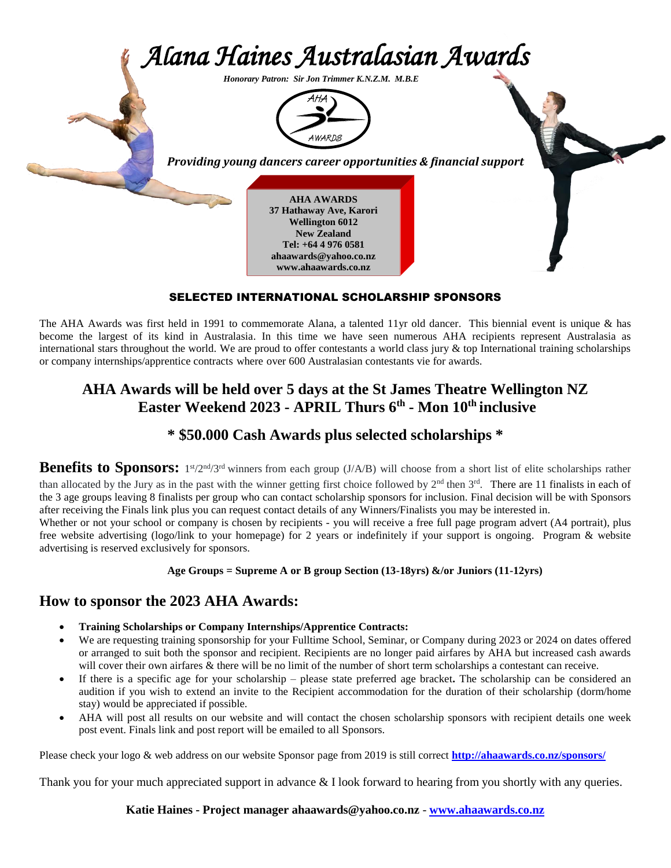

#### SELECTED INTERNATIONAL SCHOLARSHIP SPONSORS

The AHA Awards was first held in 1991 to commemorate Alana, a talented 11yr old dancer. This biennial event is unique & has become the largest of its kind in Australasia. In this time we have seen numerous AHA recipients represent Australasia as international stars throughout the world. We are proud to offer contestants a world class jury & top International training scholarships or company internships/apprentice contracts where over 600 Australasian contestants vie for awards.

## **AHA Awards will be held over 5 days at the St James Theatre Wellington NZ Easter Weekend 2023 - APRIL Thurs 6th - Mon 10th inclusive**

## **\* \$50.000 Cash Awards plus selected scholarships \***

Benefits to Sponsors: 1<sup>st</sup>/2<sup>nd</sup>/3<sup>rd</sup> winners from each group (J/A/B) will choose from a short list of elite scholarships rather than allocated by the Jury as in the past with the winner getting first choice followed by  $2<sup>nd</sup>$  then  $3<sup>rd</sup>$ . There are 11 finalists in each of the 3 age groups leaving 8 finalists per group who can contact scholarship sponsors for inclusion. Final decision will be with Sponsors after receiving the Finals link plus you can request contact details of any Winners/Finalists you may be interested in.

Whether or not your school or company is chosen by recipients - you will receive a free full page program advert (A4 portrait), plus free website advertising (logo/link to your homepage) for 2 years or indefinitely if your support is ongoing. Program & website advertising is reserved exclusively for sponsors.

#### **Age Groups = Supreme A or B group Section (13-18yrs) &/or Juniors (11-12yrs)**

### **How to sponsor the 2023 AHA Awards:**

- **Training Scholarships or Company Internships/Apprentice Contracts:**
- We are requesting training sponsorship for your Fulltime School, Seminar, or Company during 2023 or 2024 on dates offered or arranged to suit both the sponsor and recipient. Recipients are no longer paid airfares by AHA but increased cash awards will cover their own airfares & there will be no limit of the number of short term scholarships a contestant can receive.
- If there is a specific age for your scholarship please state preferred age bracket**.** The scholarship can be considered an audition if you wish to extend an invite to the Recipient accommodation for the duration of their scholarship (dorm/home stay) would be appreciated if possible.
- AHA will post all results on our website and will contact the chosen scholarship sponsors with recipient details one week post event. Finals link and post report will be emailed to all Sponsors.

Please check your logo & web address on our website Sponsor page from 2019 is still correct **<http://ahaawards.co.nz/sponsors/>**

Thank you for your much appreciated support in advance & I look forward to hearing from you shortly with any queries.

**Katie Haines - Project manager ahaawards@yahoo.co.nz** - **[www.ahaawards.co.nz](http://www.ahaawards.co.nz/)**